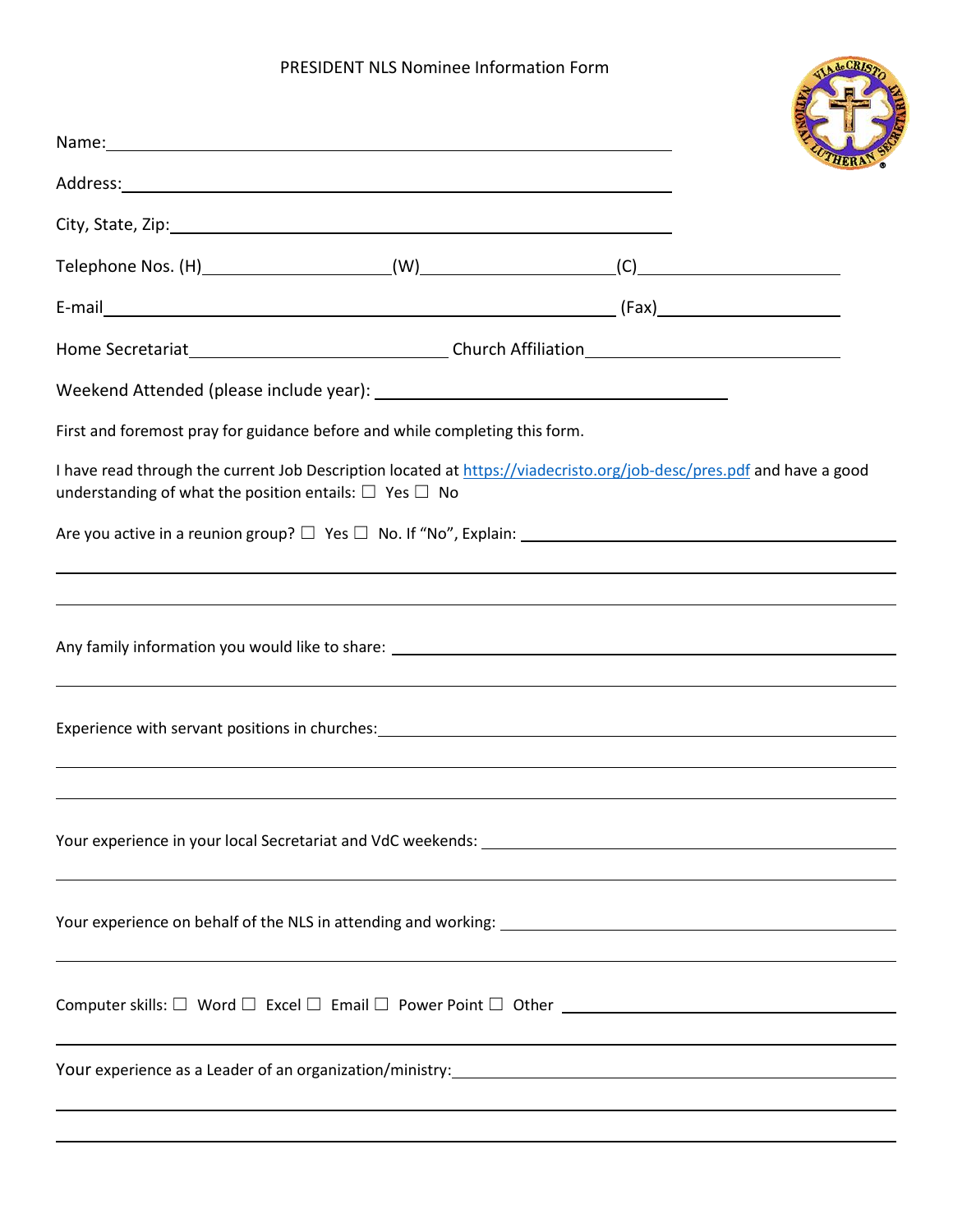## PRESIDENT NLS Nominee Information Form

| PRESIDENT NLS Nominee Information Form                                                                                                                                                                                         |  |  | de CRI |
|--------------------------------------------------------------------------------------------------------------------------------------------------------------------------------------------------------------------------------|--|--|--------|
| Name: Name and the state of the state of the state of the state of the state of the state of the state of the state of the state of the state of the state of the state of the state of the state of the state of the state of |  |  |        |
|                                                                                                                                                                                                                                |  |  |        |
|                                                                                                                                                                                                                                |  |  |        |
|                                                                                                                                                                                                                                |  |  |        |
|                                                                                                                                                                                                                                |  |  |        |
|                                                                                                                                                                                                                                |  |  |        |
|                                                                                                                                                                                                                                |  |  |        |
| First and foremost pray for guidance before and while completing this form.                                                                                                                                                    |  |  |        |
| I have read through the current Job Description located at https://viadecristo.org/job-desc/pres.pdf and have a good<br>understanding of what the position entails: $\Box$ Yes $\Box$ No                                       |  |  |        |
|                                                                                                                                                                                                                                |  |  |        |
|                                                                                                                                                                                                                                |  |  |        |
| ,我们也不会有什么。""我们的人,我们也不会有什么?""我们的人,我们也不会有什么?""我们的人,我们也不会有什么?""我们的人,我们也不会有什么?""我们的人                                                                                                                                               |  |  |        |
| Experience with servant positions in churches: Manual Community of the Community of the Community of the Community of the Community of the Community of the Community of the Community of the Community of the Community of th |  |  |        |
|                                                                                                                                                                                                                                |  |  |        |
|                                                                                                                                                                                                                                |  |  |        |
|                                                                                                                                                                                                                                |  |  |        |
|                                                                                                                                                                                                                                |  |  |        |
|                                                                                                                                                                                                                                |  |  |        |